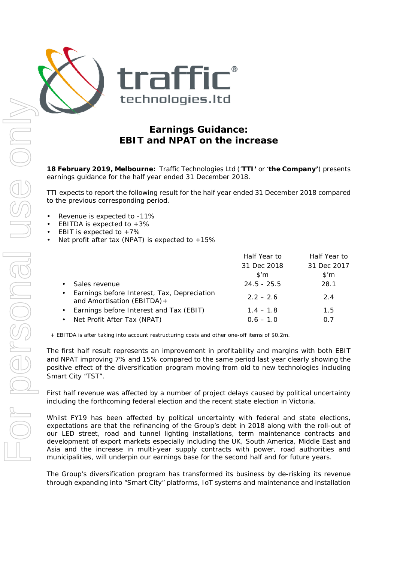

## **Earnings Guidance: EBIT and NPAT on the increase**

**18 February 2019, Melbourne:** Traffic Technologies Ltd ('**TTI'** or '**the Company'**) presents earnings guidance for the half year ended 31 December 2018.

TTI expects to report the following result for the half year ended 31 December 2018 compared to the previous corresponding period.

- Revenue is expected to -11%
- EBITDA is expected to  $+3\%$
- EBIT is expected to  $+7\%$
- Net profit after tax (NPAT) is expected to  $+15%$

|                                                                              | Half Year to            | Half Year to   |
|------------------------------------------------------------------------------|-------------------------|----------------|
|                                                                              | 31 Dec 2018             | 31 Dec 2017    |
|                                                                              | $\mathsf{S}'\mathsf{m}$ | $$^{\prime}$ m |
| Sales revenue                                                                | $24.5 - 25.5$           | 28.1           |
| • Earnings before Interest, Tax, Depreciation<br>and Amortisation (EBITDA) + | $2.2 - 2.6$             | 2.4            |
| • Earnings before Interest and Tax (EBIT)                                    | $1.4 - 1.8$             | 1.5            |
| Net Profit After Tax (NPAT)                                                  | $0.6 - 1.0$             | 0.7            |
|                                                                              |                         |                |

*+ EBITDA is after taking into account restructuring costs and other one-off items of \$0.2m.*

The first half result represents an improvement in profitability and margins with both EBIT and NPAT improving 7% and 15% compared to the same period last year clearly showing the positive effect of the diversification program moving from old to new technologies including Smart City "TST".

First half revenue was affected by a number of project delays caused by political uncertainty including the forthcoming federal election and the recent state election in Victoria.

Whilst FY19 has been affected by political uncertainty with federal and state elections, expectations are that the refinancing of the Group's debt in 2018 along with the roll-out of our LED street, road and tunnel lighting installations, term maintenance contracts and development of export markets especially including the UK, South America, Middle East and Asia and the increase in multi-year supply contracts with power, road authorities and municipalities, will underpin our earnings base for the second half and for future years.

The Group's diversification program has transformed its business by de-risking its revenue through expanding into "Smart City" platforms, IoT systems and maintenance and installation